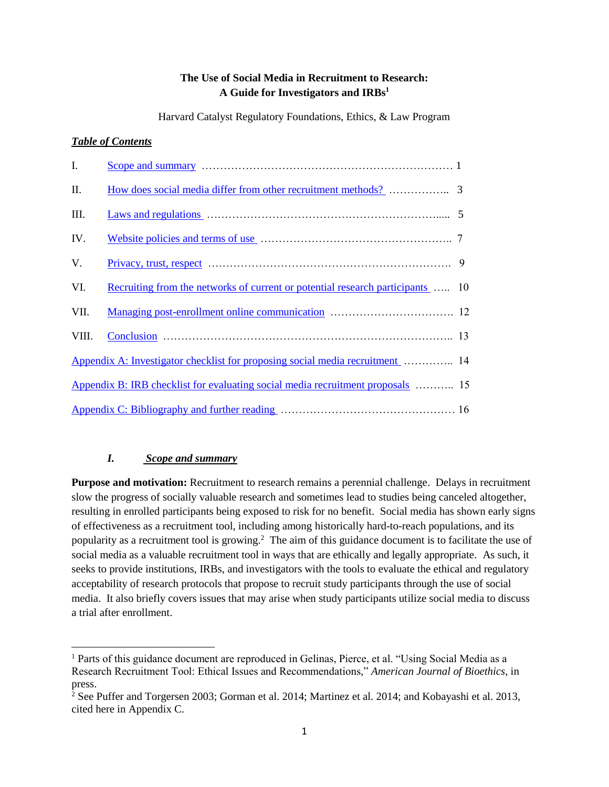## **The Use of Social Media in Recruitment to Research: A Guide for Investigators and IRBs<sup>1</sup>**

Harvard Catalyst Regulatory Foundations, Ethics, & Law Program

## *Table of Contents*

| I.    |                                                                                 |   |
|-------|---------------------------------------------------------------------------------|---|
| II.   |                                                                                 |   |
| III.  |                                                                                 |   |
| IV.   |                                                                                 |   |
| V.    |                                                                                 | 9 |
| VI.   | Recruiting from the networks of current or potential research participants  10  |   |
| VII.  |                                                                                 |   |
| VIII. |                                                                                 |   |
|       | Appendix A: Investigator checklist for proposing social media recruitment [ 14] |   |
|       | Appendix B: IRB checklist for evaluating social media recruitment proposals  15 |   |
|       |                                                                                 |   |

# <span id="page-0-0"></span>*I. Scope and summary*

 $\overline{\phantom{a}}$ 

**Purpose and motivation:** Recruitment to research remains a perennial challenge. Delays in recruitment slow the progress of socially valuable research and sometimes lead to studies being canceled altogether, resulting in enrolled participants being exposed to risk for no benefit. Social media has shown early signs of effectiveness as a recruitment tool, including among historically hard-to-reach populations, and its popularity as a recruitment tool is growing.<sup>2</sup> The aim of this guidance document is to facilitate the use of social media as a valuable recruitment tool in ways that are ethically and legally appropriate. As such, it seeks to provide institutions, IRBs, and investigators with the tools to evaluate the ethical and regulatory acceptability of research protocols that propose to recruit study participants through the use of social media. It also briefly covers issues that may arise when study participants utilize social media to discuss a trial after enrollment.

<sup>1</sup> Parts of this guidance document are reproduced in Gelinas, Pierce, et al. "Using Social Media as a Research Recruitment Tool: Ethical Issues and Recommendations," *American Journal of Bioethics*, in press.

 $2^{\circ}$  See Puffer and Torgersen 2003; Gorman et al. 2014; Martinez et al. 2014; and Kobayashi et al. 2013, cited here in Appendix C.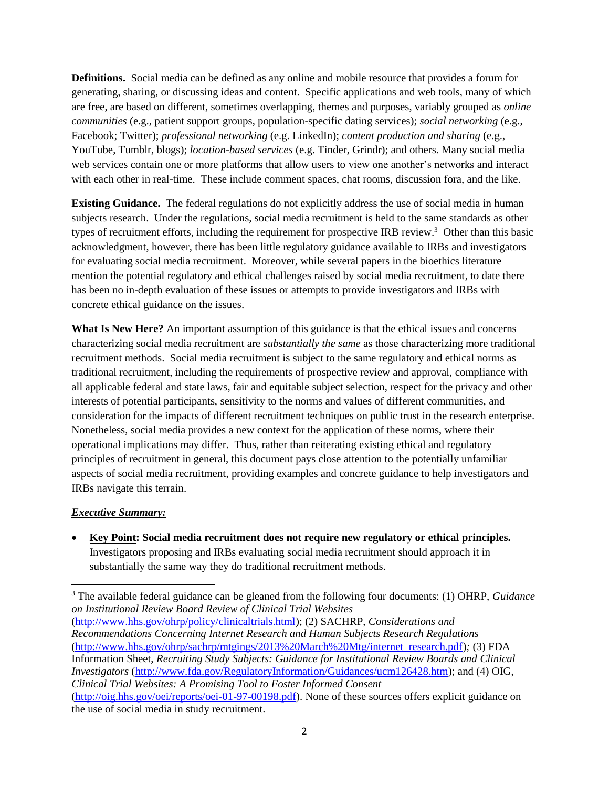**Definitions.** Social media can be defined as any online and mobile resource that provides a forum for generating, sharing, or discussing ideas and content. Specific applications and web tools, many of which are free, are based on different, sometimes overlapping, themes and purposes, variably grouped as *online communities* (e.g., patient support groups, population-specific dating services); *social networking* (e.g., Facebook; Twitter); *professional networking* (e.g. LinkedIn); *content production and sharing* (e.g., YouTube, Tumblr, blogs); *location-based services* (e.g. Tinder, Grindr); and others. Many social media web services contain one or more platforms that allow users to view one another's networks and interact with each other in real-time. These include comment spaces, chat rooms, discussion fora, and the like.

**Existing Guidance.** The federal regulations do not explicitly address the use of social media in human subjects research. Under the regulations, social media recruitment is held to the same standards as other types of recruitment efforts, including the requirement for prospective IRB review.<sup>3</sup> Other than this basic acknowledgment, however, there has been little regulatory guidance available to IRBs and investigators for evaluating social media recruitment. Moreover, while several papers in the bioethics literature mention the potential regulatory and ethical challenges raised by social media recruitment, to date there has been no in-depth evaluation of these issues or attempts to provide investigators and IRBs with concrete ethical guidance on the issues.

**What Is New Here?** An important assumption of this guidance is that the ethical issues and concerns characterizing social media recruitment are *substantially the same* as those characterizing more traditional recruitment methods. Social media recruitment is subject to the same regulatory and ethical norms as traditional recruitment, including the requirements of prospective review and approval, compliance with all applicable federal and state laws, fair and equitable subject selection, respect for the privacy and other interests of potential participants, sensitivity to the norms and values of different communities, and consideration for the impacts of different recruitment techniques on public trust in the research enterprise. Nonetheless, social media provides a new context for the application of these norms, where their operational implications may differ. Thus, rather than reiterating existing ethical and regulatory principles of recruitment in general, this document pays close attention to the potentially unfamiliar aspects of social media recruitment, providing examples and concrete guidance to help investigators and IRBs navigate this terrain.

#### *Executive Summary:*

 $\overline{a}$ 

 **Key Point: Social media recruitment does not require new regulatory or ethical principles.** Investigators proposing and IRBs evaluating social media recruitment should approach it in substantially the same way they do traditional recruitment methods.

<sup>3</sup> The available federal guidance can be gleaned from the following four documents: (1) OHRP, *Guidance on Institutional Review Board Review of Clinical Trial Websites*

[\(http://www.hhs.gov/ohrp/policy/clinicaltrials.html\)](http://www.hhs.gov/ohrp/policy/clinicaltrials.html); (2) SACHRP, *Considerations and Recommendations Concerning Internet Research and Human Subjects Research Regulations*  [\(http://www.hhs.gov/ohrp/sachrp/mtgings/2013%20March%20Mtg/internet\\_research.pdf\)](http://www.hhs.gov/ohrp/sachrp/mtgings/2013%20March%20Mtg/internet_research.pdf)*;* (3) FDA Information Sheet, *Recruiting Study Subjects: Guidance for Institutional Review Boards and Clinical Investigators* [\(http://www.fda.gov/RegulatoryInformation/Guidances/ucm126428.htm\)](http://www.fda.gov/RegulatoryInformation/Guidances/ucm126428.htm); and (4) OIG, *Clinical Trial Websites: A Promising Tool to Foster Informed Consent* [\(http://oig.hhs.gov/oei/reports/oei-01-97-00198.pdf\)](http://oig.hhs.gov/oei/reports/oei-01-97-00198.pdf). None of these sources offers explicit guidance on

the use of social media in study recruitment.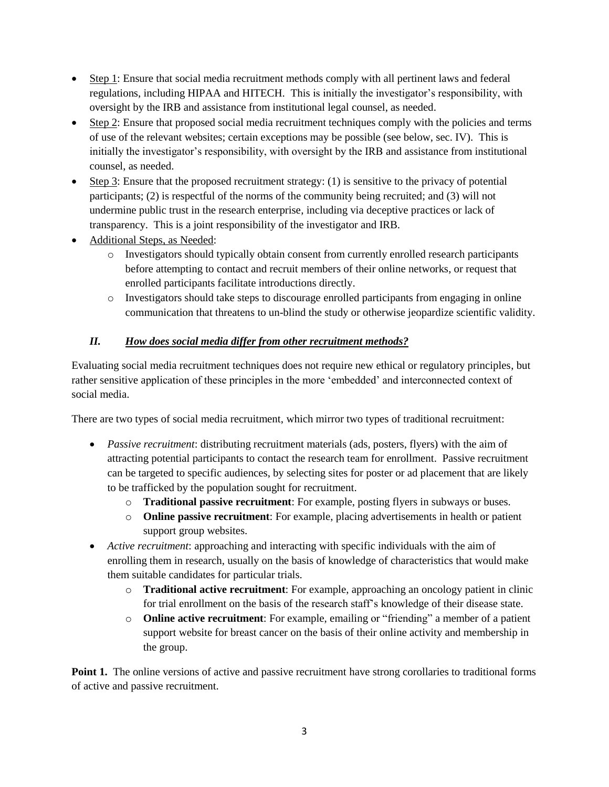- Step 1: Ensure that social media recruitment methods comply with all pertinent laws and federal regulations, including HIPAA and HITECH. This is initially the investigator's responsibility, with oversight by the IRB and assistance from institutional legal counsel, as needed.
- Step 2: Ensure that proposed social media recruitment techniques comply with the policies and terms of use of the relevant websites; certain exceptions may be possible (see below, sec. IV). This is initially the investigator's responsibility, with oversight by the IRB and assistance from institutional counsel, as needed.
- $\bullet$  Step 3: Ensure that the proposed recruitment strategy: (1) is sensitive to the privacy of potential participants; (2) is respectful of the norms of the community being recruited; and (3) will not undermine public trust in the research enterprise, including via deceptive practices or lack of transparency. This is a joint responsibility of the investigator and IRB.
- Additional Steps, as Needed:
	- o Investigators should typically obtain consent from currently enrolled research participants before attempting to contact and recruit members of their online networks, or request that enrolled participants facilitate introductions directly.
	- $\circ$  Investigators should take steps to discourage enrolled participants from engaging in online communication that threatens to un-blind the study or otherwise jeopardize scientific validity.

# <span id="page-2-0"></span>*II. How does social media differ from other recruitment methods?*

Evaluating social media recruitment techniques does not require new ethical or regulatory principles, but rather sensitive application of these principles in the more 'embedded' and interconnected context of social media.

There are two types of social media recruitment, which mirror two types of traditional recruitment:

- *Passive recruitment*: distributing recruitment materials (ads, posters, flyers) with the aim of attracting potential participants to contact the research team for enrollment. Passive recruitment can be targeted to specific audiences, by selecting sites for poster or ad placement that are likely to be trafficked by the population sought for recruitment.
	- o **Traditional passive recruitment**: For example, posting flyers in subways or buses.
	- o **Online passive recruitment**: For example, placing advertisements in health or patient support group websites.
- *Active recruitment*: approaching and interacting with specific individuals with the aim of enrolling them in research, usually on the basis of knowledge of characteristics that would make them suitable candidates for particular trials.
	- o **Traditional active recruitment**: For example, approaching an oncology patient in clinic for trial enrollment on the basis of the research staff's knowledge of their disease state.
	- o **Online active recruitment**: For example, emailing or "friending" a member of a patient support website for breast cancer on the basis of their online activity and membership in the group.

**Point 1.** The online versions of active and passive recruitment have strong corollaries to traditional forms of active and passive recruitment.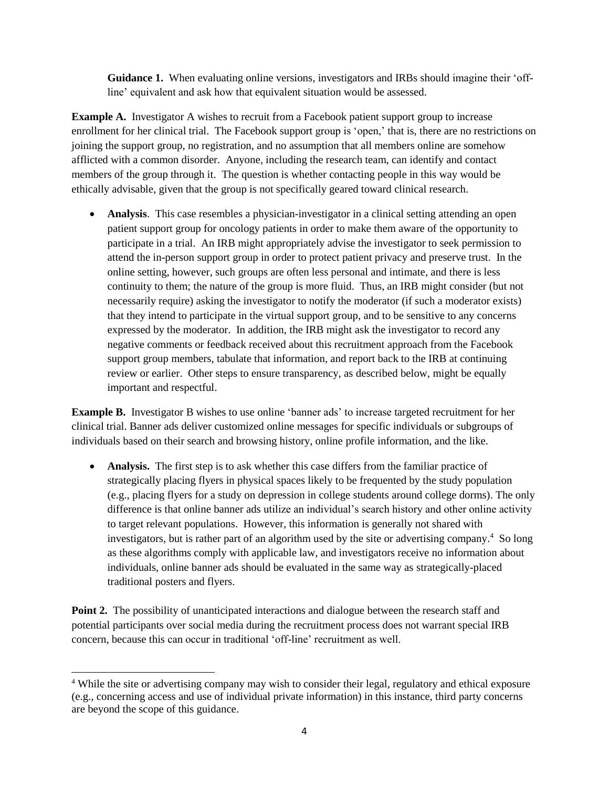**Guidance 1.** When evaluating online versions, investigators and IRBs should imagine their 'offline' equivalent and ask how that equivalent situation would be assessed.

**Example A.** Investigator A wishes to recruit from a Facebook patient support group to increase enrollment for her clinical trial. The Facebook support group is 'open,' that is, there are no restrictions on joining the support group, no registration, and no assumption that all members online are somehow afflicted with a common disorder. Anyone, including the research team, can identify and contact members of the group through it. The question is whether contacting people in this way would be ethically advisable, given that the group is not specifically geared toward clinical research.

• **Analysis**. This case resembles a physician-investigator in a clinical setting attending an open patient support group for oncology patients in order to make them aware of the opportunity to participate in a trial. An IRB might appropriately advise the investigator to seek permission to attend the in-person support group in order to protect patient privacy and preserve trust. In the online setting, however, such groups are often less personal and intimate, and there is less continuity to them; the nature of the group is more fluid. Thus, an IRB might consider (but not necessarily require) asking the investigator to notify the moderator (if such a moderator exists) that they intend to participate in the virtual support group, and to be sensitive to any concerns expressed by the moderator. In addition, the IRB might ask the investigator to record any negative comments or feedback received about this recruitment approach from the Facebook support group members, tabulate that information, and report back to the IRB at continuing review or earlier. Other steps to ensure transparency, as described below, might be equally important and respectful.

**Example B.** Investigator B wishes to use online 'banner ads' to increase targeted recruitment for her clinical trial. Banner ads deliver customized online messages for specific individuals or subgroups of individuals based on their search and browsing history, online profile information, and the like.

• **Analysis.** The first step is to ask whether this case differs from the familiar practice of strategically placing flyers in physical spaces likely to be frequented by the study population (e.g., placing flyers for a study on depression in college students around college dorms). The only difference is that online banner ads utilize an individual's search history and other online activity to target relevant populations. However, this information is generally not shared with investigators, but is rather part of an algorithm used by the site or advertising company.<sup>4</sup> So long as these algorithms comply with applicable law, and investigators receive no information about individuals, online banner ads should be evaluated in the same way as strategically-placed traditional posters and flyers.

Point 2. The possibility of unanticipated interactions and dialogue between the research staff and potential participants over social media during the recruitment process does not warrant special IRB concern, because this can occur in traditional 'off-line' recruitment as well.

 $\overline{a}$ 

<sup>&</sup>lt;sup>4</sup> While the site or advertising company may wish to consider their legal, regulatory and ethical exposure (e.g., concerning access and use of individual private information) in this instance, third party concerns are beyond the scope of this guidance.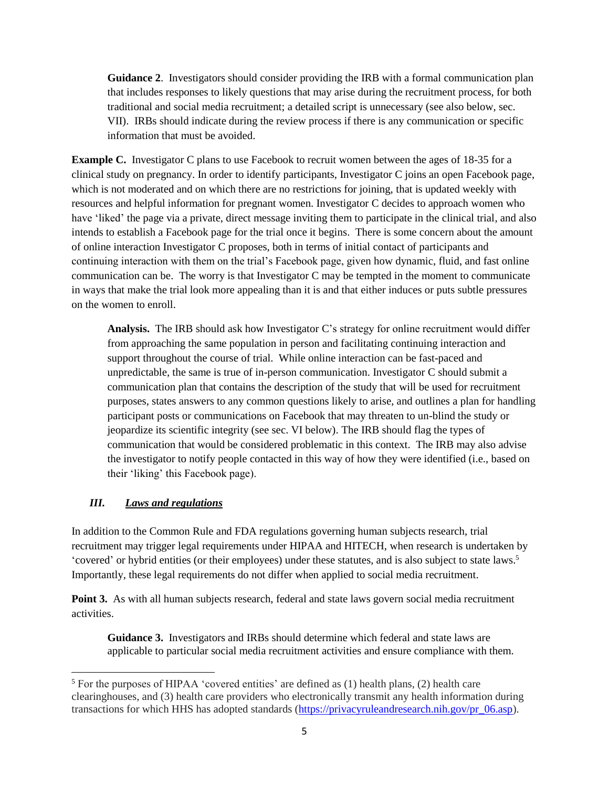**Guidance 2**. Investigators should consider providing the IRB with a formal communication plan that includes responses to likely questions that may arise during the recruitment process, for both traditional and social media recruitment; a detailed script is unnecessary (see also below, sec. VII). IRBs should indicate during the review process if there is any communication or specific information that must be avoided.

**Example C.** Investigator C plans to use Facebook to recruit women between the ages of 18-35 for a clinical study on pregnancy. In order to identify participants, Investigator C joins an open Facebook page, which is not moderated and on which there are no restrictions for joining, that is updated weekly with resources and helpful information for pregnant women. Investigator C decides to approach women who have 'liked' the page via a private, direct message inviting them to participate in the clinical trial, and also intends to establish a Facebook page for the trial once it begins. There is some concern about the amount of online interaction Investigator C proposes, both in terms of initial contact of participants and continuing interaction with them on the trial's Facebook page, given how dynamic, fluid, and fast online communication can be. The worry is that Investigator C may be tempted in the moment to communicate in ways that make the trial look more appealing than it is and that either induces or puts subtle pressures on the women to enroll.

**Analysis.** The IRB should ask how Investigator C's strategy for online recruitment would differ from approaching the same population in person and facilitating continuing interaction and support throughout the course of trial. While online interaction can be fast-paced and unpredictable, the same is true of in-person communication. Investigator C should submit a communication plan that contains the description of the study that will be used for recruitment purposes, states answers to any common questions likely to arise, and outlines a plan for handling participant posts or communications on Facebook that may threaten to un-blind the study or jeopardize its scientific integrity (see sec. VI below). The IRB should flag the types of communication that would be considered problematic in this context. The IRB may also advise the investigator to notify people contacted in this way of how they were identified (i.e., based on their 'liking' this Facebook page).

## <span id="page-4-0"></span>*III. Laws and regulations*

 $\overline{a}$ 

In addition to the Common Rule and FDA regulations governing human subjects research, trial recruitment may trigger legal requirements under HIPAA and HITECH, when research is undertaken by 'covered' or hybrid entities (or their employees) under these statutes, and is also subject to state laws.<sup>5</sup> Importantly, these legal requirements do not differ when applied to social media recruitment.

**Point 3.** As with all human subjects research, federal and state laws govern social media recruitment activities.

**Guidance 3.** Investigators and IRBs should determine which federal and state laws are applicable to particular social media recruitment activities and ensure compliance with them.

<sup>5</sup> For the purposes of HIPAA 'covered entities' are defined as (1) health plans, (2) health care clearinghouses, and (3) health care providers who electronically transmit any health information during transactions for which HHS has adopted standards [\(https://privacyruleandresearch.nih.gov/pr\\_06.asp\)](https://privacyruleandresearch.nih.gov/pr_06.asp).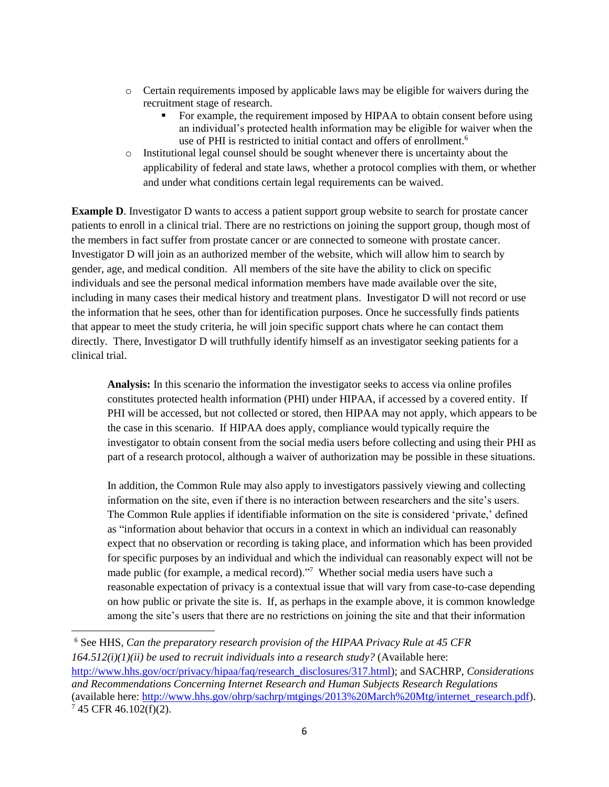- o Certain requirements imposed by applicable laws may be eligible for waivers during the recruitment stage of research.
	- For example, the requirement imposed by HIPAA to obtain consent before using an individual's protected health information may be eligible for waiver when the use of PHI is restricted to initial contact and offers of enrollment.<sup>6</sup>
- o Institutional legal counsel should be sought whenever there is uncertainty about the applicability of federal and state laws, whether a protocol complies with them, or whether and under what conditions certain legal requirements can be waived.

**Example D**. Investigator D wants to access a patient support group website to search for prostate cancer patients to enroll in a clinical trial. There are no restrictions on joining the support group, though most of the members in fact suffer from prostate cancer or are connected to someone with prostate cancer. Investigator D will join as an authorized member of the website, which will allow him to search by gender, age, and medical condition. All members of the site have the ability to click on specific individuals and see the personal medical information members have made available over the site, including in many cases their medical history and treatment plans. Investigator D will not record or use the information that he sees, other than for identification purposes. Once he successfully finds patients that appear to meet the study criteria, he will join specific support chats where he can contact them directly. There, Investigator D will truthfully identify himself as an investigator seeking patients for a clinical trial.

**Analysis:** In this scenario the information the investigator seeks to access via online profiles constitutes protected health information (PHI) under HIPAA, if accessed by a covered entity. If PHI will be accessed, but not collected or stored, then HIPAA may not apply, which appears to be the case in this scenario. If HIPAA does apply, compliance would typically require the investigator to obtain consent from the social media users before collecting and using their PHI as part of a research protocol, although a waiver of authorization may be possible in these situations.

In addition, the Common Rule may also apply to investigators passively viewing and collecting information on the site, even if there is no interaction between researchers and the site's users. The Common Rule applies if identifiable information on the site is considered 'private,' defined as "information about behavior that occurs in a context in which an individual can reasonably expect that no observation or recording is taking place, and information which has been provided for specific purposes by an individual and which the individual can reasonably expect will not be made public (for example, a medical record)."<sup>7</sup> Whether social media users have such a reasonable expectation of privacy is a contextual issue that will vary from case-to-case depending on how public or private the site is. If, as perhaps in the example above, it is common knowledge among the site's users that there are no restrictions on joining the site and that their information

 $\overline{\phantom{a}}$ 

**<sup>6</sup>** See HHS, *Can the preparatory research provision of the HIPAA Privacy Rule at 45 CFR 164.512(i)(1)(ii) be used to recruit individuals into a research study?* (Available here: [http://www.hhs.gov/ocr/privacy/hipaa/faq/research\\_disclosures/317.html\)](http://www.hhs.gov/ocr/privacy/hipaa/faq/research_disclosures/317.html); and SACHRP, *Considerations and Recommendations Concerning Internet Research and Human Subjects Research Regulations*  (available here: [http://www.hhs.gov/ohrp/sachrp/mtgings/2013%20March%20Mtg/internet\\_research.pdf\)](http://www.hhs.gov/ohrp/sachrp/mtgings/2013%20March%20Mtg/internet_research.pdf).  $7$  45 CFR 46.102(f)(2).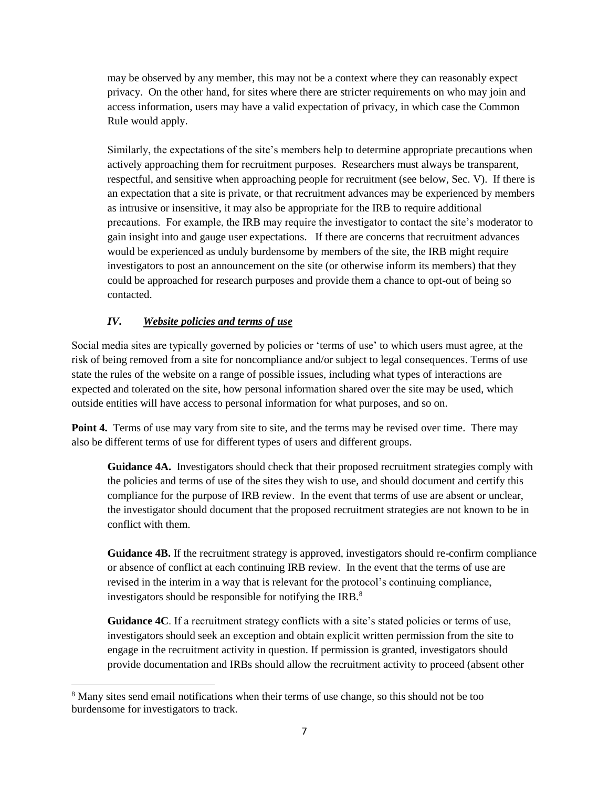may be observed by any member, this may not be a context where they can reasonably expect privacy. On the other hand, for sites where there are stricter requirements on who may join and access information, users may have a valid expectation of privacy, in which case the Common Rule would apply.

Similarly, the expectations of the site's members help to determine appropriate precautions when actively approaching them for recruitment purposes. Researchers must always be transparent, respectful, and sensitive when approaching people for recruitment (see below, Sec. V). If there is an expectation that a site is private, or that recruitment advances may be experienced by members as intrusive or insensitive, it may also be appropriate for the IRB to require additional precautions. For example, the IRB may require the investigator to contact the site's moderator to gain insight into and gauge user expectations. If there are concerns that recruitment advances would be experienced as unduly burdensome by members of the site, the IRB might require investigators to post an announcement on the site (or otherwise inform its members) that they could be approached for research purposes and provide them a chance to opt-out of being so contacted.

# <span id="page-6-0"></span>*IV***.** *Website policies and terms of use*

 $\overline{\phantom{a}}$ 

Social media sites are typically governed by policies or 'terms of use' to which users must agree, at the risk of being removed from a site for noncompliance and/or subject to legal consequences. Terms of use state the rules of the website on a range of possible issues, including what types of interactions are expected and tolerated on the site, how personal information shared over the site may be used, which outside entities will have access to personal information for what purposes, and so on.

**Point 4.** Terms of use may vary from site to site, and the terms may be revised over time. There may also be different terms of use for different types of users and different groups.

**Guidance 4A.** Investigators should check that their proposed recruitment strategies comply with the policies and terms of use of the sites they wish to use, and should document and certify this compliance for the purpose of IRB review. In the event that terms of use are absent or unclear, the investigator should document that the proposed recruitment strategies are not known to be in conflict with them.

**Guidance 4B.** If the recruitment strategy is approved, investigators should re-confirm compliance or absence of conflict at each continuing IRB review. In the event that the terms of use are revised in the interim in a way that is relevant for the protocol's continuing compliance, investigators should be responsible for notifying the IRB.<sup>8</sup>

**Guidance 4C**. If a recruitment strategy conflicts with a site's stated policies or terms of use, investigators should seek an exception and obtain explicit written permission from the site to engage in the recruitment activity in question. If permission is granted, investigators should provide documentation and IRBs should allow the recruitment activity to proceed (absent other

<sup>&</sup>lt;sup>8</sup> Many sites send email notifications when their terms of use change, so this should not be too burdensome for investigators to track.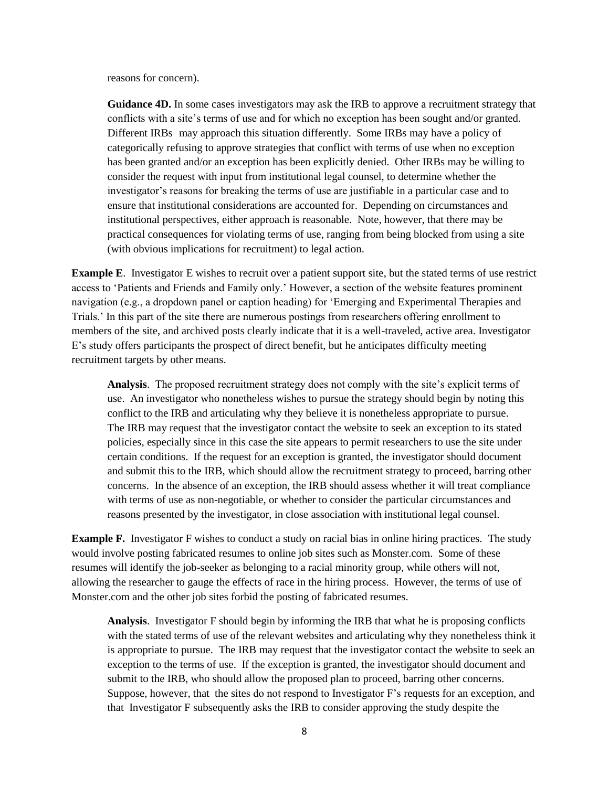reasons for concern).

**Guidance 4D.** In some cases investigators may ask the IRB to approve a recruitment strategy that conflicts with a site's terms of use and for which no exception has been sought and/or granted. Different IRBs may approach this situation differently. Some IRBs may have a policy of categorically refusing to approve strategies that conflict with terms of use when no exception has been granted and/or an exception has been explicitly denied. Other IRBs may be willing to consider the request with input from institutional legal counsel, to determine whether the investigator's reasons for breaking the terms of use are justifiable in a particular case and to ensure that institutional considerations are accounted for. Depending on circumstances and institutional perspectives, either approach is reasonable. Note, however, that there may be practical consequences for violating terms of use, ranging from being blocked from using a site (with obvious implications for recruitment) to legal action.

**Example E**. Investigator E wishes to recruit over a patient support site, but the stated terms of use restrict access to 'Patients and Friends and Family only.' However, a section of the website features prominent navigation (e.g., a dropdown panel or caption heading) for 'Emerging and Experimental Therapies and Trials.' In this part of the site there are numerous postings from researchers offering enrollment to members of the site, and archived posts clearly indicate that it is a well-traveled, active area. Investigator E's study offers participants the prospect of direct benefit, but he anticipates difficulty meeting recruitment targets by other means.

**Analysis**. The proposed recruitment strategy does not comply with the site's explicit terms of use. An investigator who nonetheless wishes to pursue the strategy should begin by noting this conflict to the IRB and articulating why they believe it is nonetheless appropriate to pursue. The IRB may request that the investigator contact the website to seek an exception to its stated policies, especially since in this case the site appears to permit researchers to use the site under certain conditions. If the request for an exception is granted, the investigator should document and submit this to the IRB, which should allow the recruitment strategy to proceed, barring other concerns. In the absence of an exception, the IRB should assess whether it will treat compliance with terms of use as non-negotiable, or whether to consider the particular circumstances and reasons presented by the investigator, in close association with institutional legal counsel.

**Example F.** Investigator F wishes to conduct a study on racial bias in online hiring practices. The study would involve posting fabricated resumes to online job sites such as Monster.com. Some of these resumes will identify the job-seeker as belonging to a racial minority group, while others will not, allowing the researcher to gauge the effects of race in the hiring process. However, the terms of use of Monster.com and the other job sites forbid the posting of fabricated resumes.

**Analysis**. Investigator F should begin by informing the IRB that what he is proposing conflicts with the stated terms of use of the relevant websites and articulating why they nonetheless think it is appropriate to pursue. The IRB may request that the investigator contact the website to seek an exception to the terms of use. If the exception is granted, the investigator should document and submit to the IRB, who should allow the proposed plan to proceed, barring other concerns. Suppose, however, that the sites do not respond to Investigator F's requests for an exception, and that Investigator F subsequently asks the IRB to consider approving the study despite the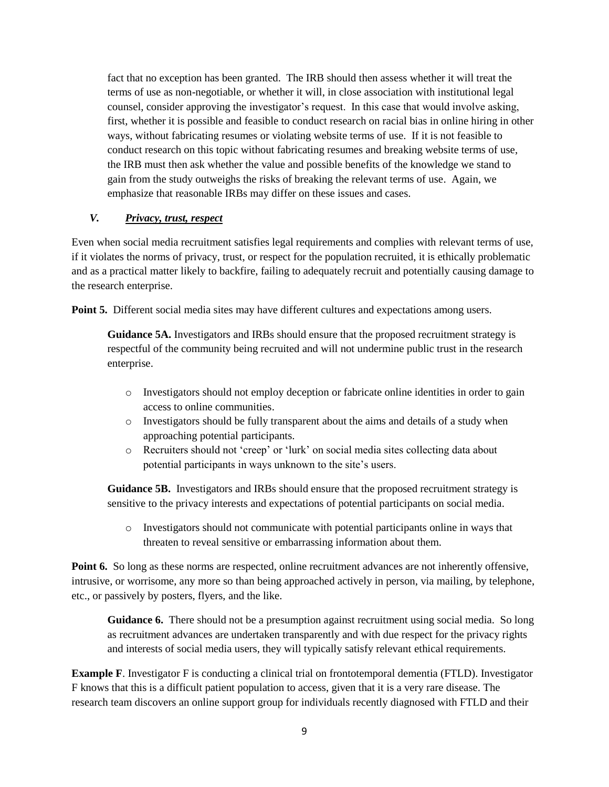fact that no exception has been granted. The IRB should then assess whether it will treat the terms of use as non-negotiable, or whether it will, in close association with institutional legal counsel, consider approving the investigator's request. In this case that would involve asking, first, whether it is possible and feasible to conduct research on racial bias in online hiring in other ways, without fabricating resumes or violating website terms of use. If it is not feasible to conduct research on this topic without fabricating resumes and breaking website terms of use, the IRB must then ask whether the value and possible benefits of the knowledge we stand to gain from the study outweighs the risks of breaking the relevant terms of use. Again, we emphasize that reasonable IRBs may differ on these issues and cases.

## <span id="page-8-0"></span>*V. Privacy, trust, respect*

Even when social media recruitment satisfies legal requirements and complies with relevant terms of use, if it violates the norms of privacy, trust, or respect for the population recruited, it is ethically problematic and as a practical matter likely to backfire, failing to adequately recruit and potentially causing damage to the research enterprise.

**Point 5.** Different social media sites may have different cultures and expectations among users.

**Guidance 5A.** Investigators and IRBs should ensure that the proposed recruitment strategy is respectful of the community being recruited and will not undermine public trust in the research enterprise.

- o Investigators should not employ deception or fabricate online identities in order to gain access to online communities.
- o Investigators should be fully transparent about the aims and details of a study when approaching potential participants.
- o Recruiters should not 'creep' or 'lurk' on social media sites collecting data about potential participants in ways unknown to the site's users.

**Guidance 5B.** Investigators and IRBs should ensure that the proposed recruitment strategy is sensitive to the privacy interests and expectations of potential participants on social media.

o Investigators should not communicate with potential participants online in ways that threaten to reveal sensitive or embarrassing information about them.

**Point 6.** So long as these norms are respected, online recruitment advances are not inherently offensive, intrusive, or worrisome, any more so than being approached actively in person, via mailing, by telephone, etc., or passively by posters, flyers, and the like.

**Guidance 6.** There should not be a presumption against recruitment using social media. So long as recruitment advances are undertaken transparently and with due respect for the privacy rights and interests of social media users, they will typically satisfy relevant ethical requirements.

**Example F**. Investigator F is conducting a clinical trial on frontotemporal dementia (FTLD). Investigator F knows that this is a difficult patient population to access, given that it is a very rare disease. The research team discovers an online support group for individuals recently diagnosed with FTLD and their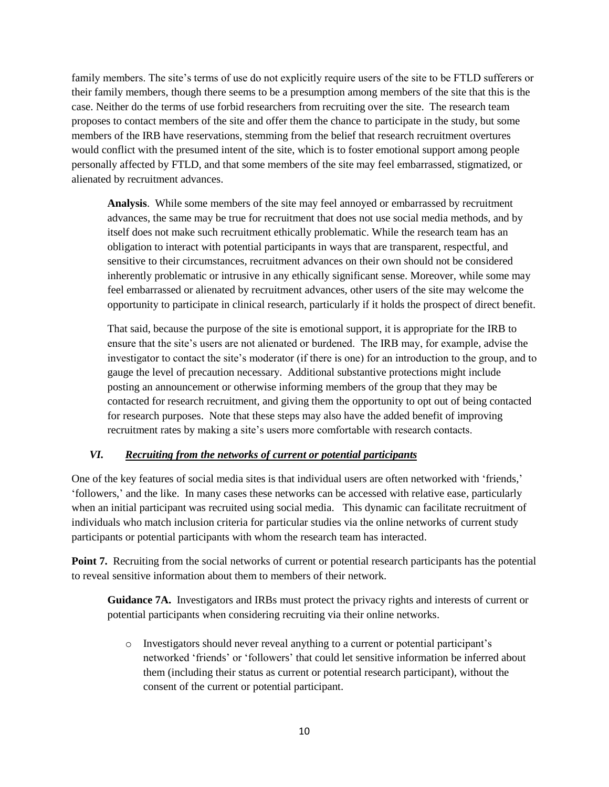family members. The site's terms of use do not explicitly require users of the site to be FTLD sufferers or their family members, though there seems to be a presumption among members of the site that this is the case. Neither do the terms of use forbid researchers from recruiting over the site. The research team proposes to contact members of the site and offer them the chance to participate in the study, but some members of the IRB have reservations, stemming from the belief that research recruitment overtures would conflict with the presumed intent of the site, which is to foster emotional support among people personally affected by FTLD, and that some members of the site may feel embarrassed, stigmatized, or alienated by recruitment advances.

**Analysis**. While some members of the site may feel annoyed or embarrassed by recruitment advances, the same may be true for recruitment that does not use social media methods, and by itself does not make such recruitment ethically problematic. While the research team has an obligation to interact with potential participants in ways that are transparent, respectful, and sensitive to their circumstances, recruitment advances on their own should not be considered inherently problematic or intrusive in any ethically significant sense. Moreover, while some may feel embarrassed or alienated by recruitment advances, other users of the site may welcome the opportunity to participate in clinical research, particularly if it holds the prospect of direct benefit.

That said, because the purpose of the site is emotional support, it is appropriate for the IRB to ensure that the site's users are not alienated or burdened. The IRB may, for example, advise the investigator to contact the site's moderator (if there is one) for an introduction to the group, and to gauge the level of precaution necessary. Additional substantive protections might include posting an announcement or otherwise informing members of the group that they may be contacted for research recruitment, and giving them the opportunity to opt out of being contacted for research purposes. Note that these steps may also have the added benefit of improving recruitment rates by making a site's users more comfortable with research contacts.

#### <span id="page-9-0"></span>*VI. Recruiting from the networks of current or potential participants*

One of the key features of social media sites is that individual users are often networked with 'friends,' 'followers,' and the like. In many cases these networks can be accessed with relative ease, particularly when an initial participant was recruited using social media. This dynamic can facilitate recruitment of individuals who match inclusion criteria for particular studies via the online networks of current study participants or potential participants with whom the research team has interacted.

**Point 7.** Recruiting from the social networks of current or potential research participants has the potential to reveal sensitive information about them to members of their network.

**Guidance 7A.** Investigators and IRBs must protect the privacy rights and interests of current or potential participants when considering recruiting via their online networks.

o Investigators should never reveal anything to a current or potential participant's networked 'friends' or 'followers' that could let sensitive information be inferred about them (including their status as current or potential research participant), without the consent of the current or potential participant.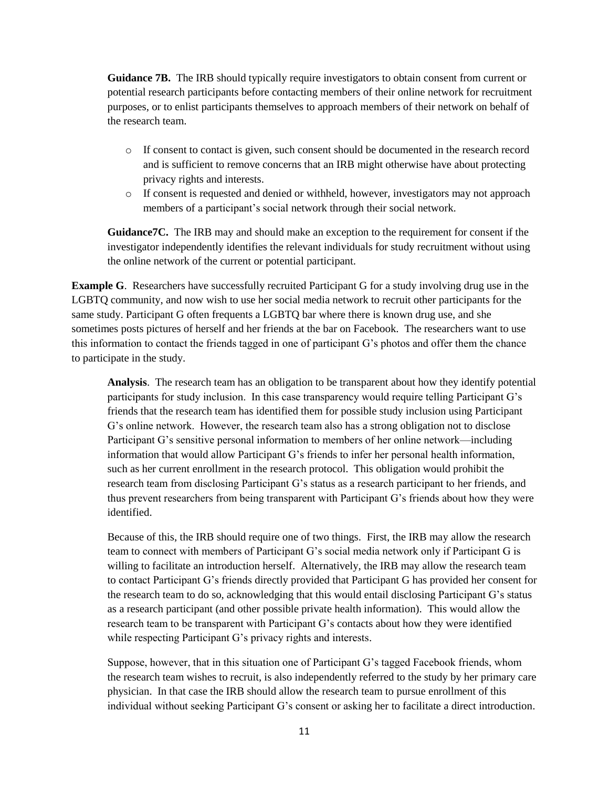**Guidance 7B.** The IRB should typically require investigators to obtain consent from current or potential research participants before contacting members of their online network for recruitment purposes, or to enlist participants themselves to approach members of their network on behalf of the research team.

- o If consent to contact is given, such consent should be documented in the research record and is sufficient to remove concerns that an IRB might otherwise have about protecting privacy rights and interests.
- o If consent is requested and denied or withheld, however, investigators may not approach members of a participant's social network through their social network.

**Guidance7C.** The IRB may and should make an exception to the requirement for consent if the investigator independently identifies the relevant individuals for study recruitment without using the online network of the current or potential participant.

**Example G.** Researchers have successfully recruited Participant G for a study involving drug use in the LGBTQ community, and now wish to use her social media network to recruit other participants for the same study. Participant G often frequents a LGBTQ bar where there is known drug use, and she sometimes posts pictures of herself and her friends at the bar on Facebook. The researchers want to use this information to contact the friends tagged in one of participant G's photos and offer them the chance to participate in the study.

**Analysis**. The research team has an obligation to be transparent about how they identify potential participants for study inclusion. In this case transparency would require telling Participant G's friends that the research team has identified them for possible study inclusion using Participant G's online network. However, the research team also has a strong obligation not to disclose Participant G's sensitive personal information to members of her online network—including information that would allow Participant G's friends to infer her personal health information, such as her current enrollment in the research protocol. This obligation would prohibit the research team from disclosing Participant G's status as a research participant to her friends, and thus prevent researchers from being transparent with Participant G's friends about how they were identified.

Because of this, the IRB should require one of two things. First, the IRB may allow the research team to connect with members of Participant G's social media network only if Participant G is willing to facilitate an introduction herself. Alternatively, the IRB may allow the research team to contact Participant G's friends directly provided that Participant G has provided her consent for the research team to do so, acknowledging that this would entail disclosing Participant G's status as a research participant (and other possible private health information). This would allow the research team to be transparent with Participant G's contacts about how they were identified while respecting Participant G's privacy rights and interests.

Suppose, however, that in this situation one of Participant G's tagged Facebook friends, whom the research team wishes to recruit, is also independently referred to the study by her primary care physician. In that case the IRB should allow the research team to pursue enrollment of this individual without seeking Participant G's consent or asking her to facilitate a direct introduction.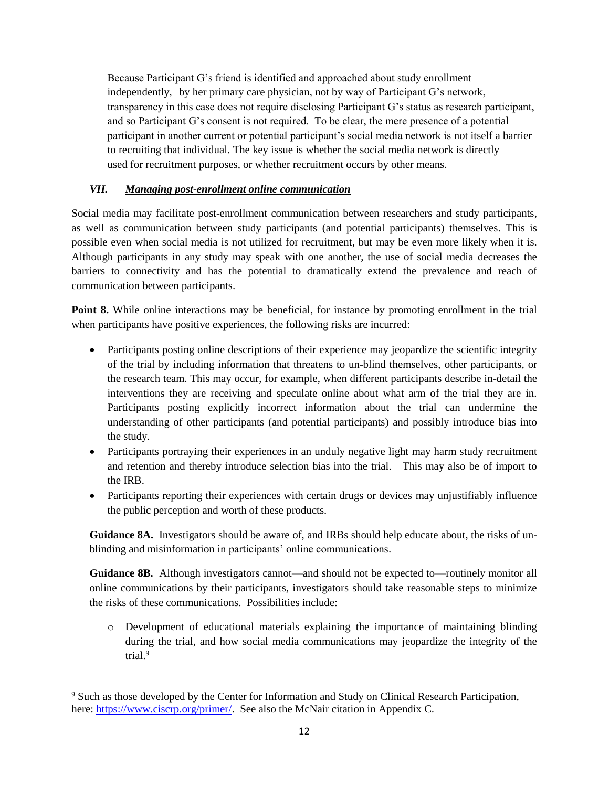Because Participant G's friend is identified and approached about study enrollment independently, by her primary care physician, not by way of Participant G's network, transparency in this case does not require disclosing Participant G's status as research participant, and so Participant G's consent is not required. To be clear, the mere presence of a potential participant in another current or potential participant's social media network is not itself a barrier to recruiting that individual. The key issue is whether the social media network is directly used for recruitment purposes, or whether recruitment occurs by other means.

## <span id="page-11-0"></span>*VII. Managing post-enrollment online communication*

Social media may facilitate post-enrollment communication between researchers and study participants, as well as communication between study participants (and potential participants) themselves. This is possible even when social media is not utilized for recruitment, but may be even more likely when it is. Although participants in any study may speak with one another, the use of social media decreases the barriers to connectivity and has the potential to dramatically extend the prevalence and reach of communication between participants.

**Point 8.** While online interactions may be beneficial, for instance by promoting enrollment in the trial when participants have positive experiences, the following risks are incurred:

- Participants posting online descriptions of their experience may jeopardize the scientific integrity of the trial by including information that threatens to un-blind themselves, other participants, or the research team. This may occur, for example, when different participants describe in-detail the interventions they are receiving and speculate online about what arm of the trial they are in. Participants posting explicitly incorrect information about the trial can undermine the understanding of other participants (and potential participants) and possibly introduce bias into the study.
- Participants portraying their experiences in an unduly negative light may harm study recruitment and retention and thereby introduce selection bias into the trial. This may also be of import to the IRB.
- Participants reporting their experiences with certain drugs or devices may unjustifiably influence the public perception and worth of these products.

**Guidance 8A.** Investigators should be aware of, and IRBs should help educate about, the risks of unblinding and misinformation in participants' online communications.

**Guidance 8B.** Although investigators cannot—and should not be expected to—routinely monitor all online communications by their participants, investigators should take reasonable steps to minimize the risks of these communications. Possibilities include:

o Development of educational materials explaining the importance of maintaining blinding during the trial, and how social media communications may jeopardize the integrity of the trial. 9

 $\overline{\phantom{a}}$ 

<sup>&</sup>lt;sup>9</sup> Such as those developed by the Center for Information and Study on Clinical Research Participation, here[: https://www.ciscrp.org/primer/.](https://www.ciscrp.org/primer/) See also the McNair citation in Appendix C.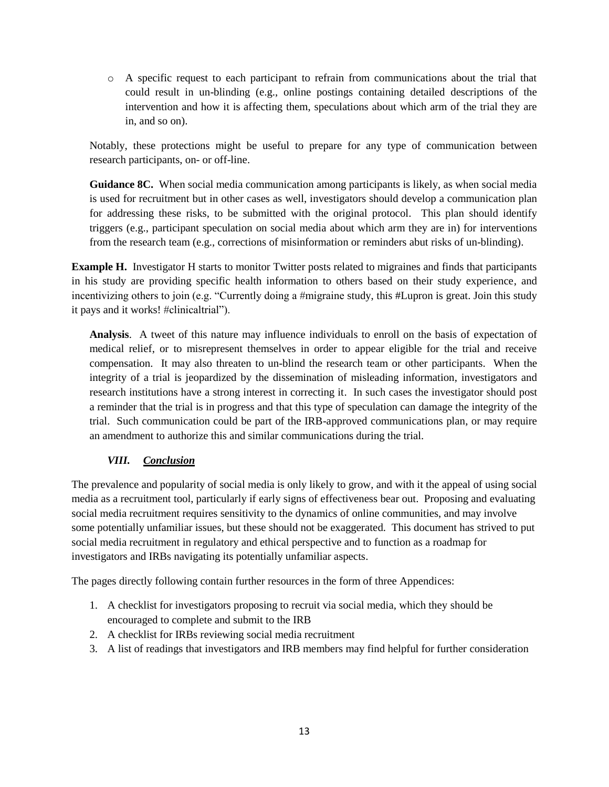o A specific request to each participant to refrain from communications about the trial that could result in un-blinding (e.g., online postings containing detailed descriptions of the intervention and how it is affecting them, speculations about which arm of the trial they are in, and so on).

Notably, these protections might be useful to prepare for any type of communication between research participants, on- or off-line.

**Guidance 8C.** When social media communication among participants is likely, as when social media is used for recruitment but in other cases as well, investigators should develop a communication plan for addressing these risks, to be submitted with the original protocol. This plan should identify triggers (e.g., participant speculation on social media about which arm they are in) for interventions from the research team (e.g., corrections of misinformation or reminders abut risks of un-blinding).

**Example H.** Investigator H starts to monitor Twitter posts related to migraines and finds that participants in his study are providing specific health information to others based on their study experience, and incentivizing others to join (e.g. "Currently doing a #migraine study, this #Lupron is great. Join this study it pays and it works! #clinicaltrial").

**Analysis**. A tweet of this nature may influence individuals to enroll on the basis of expectation of medical relief, or to misrepresent themselves in order to appear eligible for the trial and receive compensation. It may also threaten to un-blind the research team or other participants. When the integrity of a trial is jeopardized by the dissemination of misleading information, investigators and research institutions have a strong interest in correcting it. In such cases the investigator should post a reminder that the trial is in progress and that this type of speculation can damage the integrity of the trial. Such communication could be part of the IRB-approved communications plan, or may require an amendment to authorize this and similar communications during the trial.

## <span id="page-12-0"></span>*VIII. Conclusion*

The prevalence and popularity of social media is only likely to grow, and with it the appeal of using social media as a recruitment tool, particularly if early signs of effectiveness bear out. Proposing and evaluating social media recruitment requires sensitivity to the dynamics of online communities, and may involve some potentially unfamiliar issues, but these should not be exaggerated. This document has strived to put social media recruitment in regulatory and ethical perspective and to function as a roadmap for investigators and IRBs navigating its potentially unfamiliar aspects.

The pages directly following contain further resources in the form of three Appendices:

- 1. A checklist for investigators proposing to recruit via social media, which they should be encouraged to complete and submit to the IRB
- 2. A checklist for IRBs reviewing social media recruitment
- 3. A list of readings that investigators and IRB members may find helpful for further consideration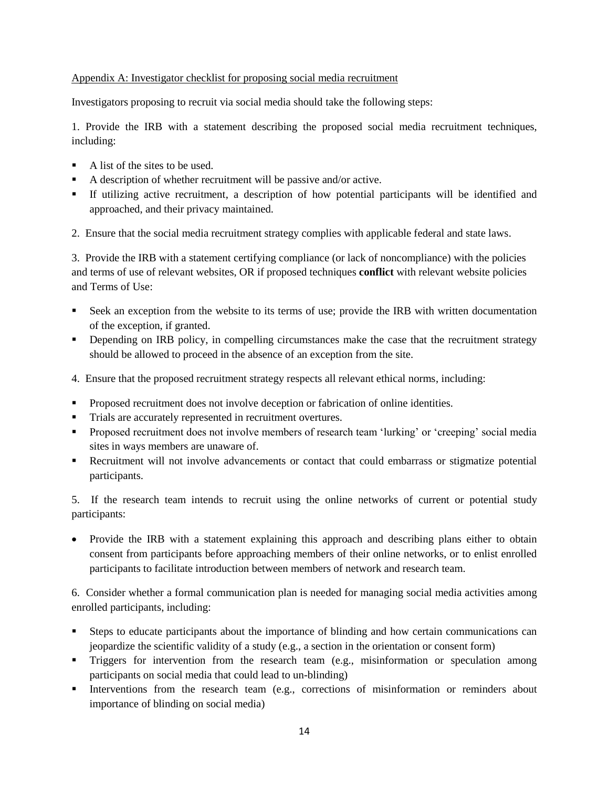#### <span id="page-13-0"></span>Appendix A: Investigator checklist for proposing social media recruitment

Investigators proposing to recruit via social media should take the following steps:

1. Provide the IRB with a statement describing the proposed social media recruitment techniques, including:

- A list of the sites to be used.
- A description of whether recruitment will be passive and/or active.
- If utilizing active recruitment, a description of how potential participants will be identified and approached, and their privacy maintained.
- 2. Ensure that the social media recruitment strategy complies with applicable federal and state laws.

3. Provide the IRB with a statement certifying compliance (or lack of noncompliance) with the policies and terms of use of relevant websites, OR if proposed techniques **conflict** with relevant website policies and Terms of Use:

- Seek an exception from the website to its terms of use; provide the IRB with written documentation of the exception, if granted.
- **•** Depending on IRB policy, in compelling circumstances make the case that the recruitment strategy should be allowed to proceed in the absence of an exception from the site.
- 4. Ensure that the proposed recruitment strategy respects all relevant ethical norms, including:
- **Proposed recruitment does not involve deception or fabrication of online identities.**
- Trials are accurately represented in recruitment overtures.
- Proposed recruitment does not involve members of research team 'lurking' or 'creeping' social media sites in ways members are unaware of.
- Recruitment will not involve advancements or contact that could embarrass or stigmatize potential participants.

5. If the research team intends to recruit using the online networks of current or potential study participants:

• Provide the IRB with a statement explaining this approach and describing plans either to obtain consent from participants before approaching members of their online networks, or to enlist enrolled participants to facilitate introduction between members of network and research team.

6. Consider whether a formal communication plan is needed for managing social media activities among enrolled participants, including:

- Steps to educate participants about the importance of blinding and how certain communications can jeopardize the scientific validity of a study (e.g., a section in the orientation or consent form)
- **Triggers** for intervention from the research team (e.g., misinformation or speculation among participants on social media that could lead to un-blinding)
- Interventions from the research team (e.g., corrections of misinformation or reminders about importance of blinding on social media)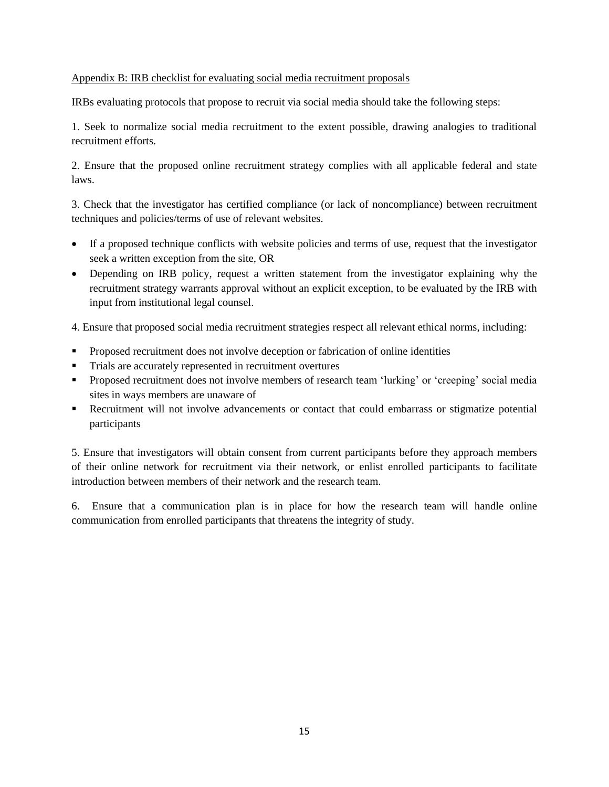#### <span id="page-14-0"></span>Appendix B: IRB checklist for evaluating social media recruitment proposals

IRBs evaluating protocols that propose to recruit via social media should take the following steps:

1. Seek to normalize social media recruitment to the extent possible, drawing analogies to traditional recruitment efforts.

2. Ensure that the proposed online recruitment strategy complies with all applicable federal and state laws.

3. Check that the investigator has certified compliance (or lack of noncompliance) between recruitment techniques and policies/terms of use of relevant websites.

- If a proposed technique conflicts with website policies and terms of use, request that the investigator seek a written exception from the site, OR
- Depending on IRB policy, request a written statement from the investigator explaining why the recruitment strategy warrants approval without an explicit exception, to be evaluated by the IRB with input from institutional legal counsel.

4. Ensure that proposed social media recruitment strategies respect all relevant ethical norms, including:

- Proposed recruitment does not involve deception or fabrication of online identities
- Trials are accurately represented in recruitment overtures
- Proposed recruitment does not involve members of research team 'lurking' or 'creeping' social media sites in ways members are unaware of
- Recruitment will not involve advancements or contact that could embarrass or stigmatize potential participants

5. Ensure that investigators will obtain consent from current participants before they approach members of their online network for recruitment via their network, or enlist enrolled participants to facilitate introduction between members of their network and the research team.

6. Ensure that a communication plan is in place for how the research team will handle online communication from enrolled participants that threatens the integrity of study.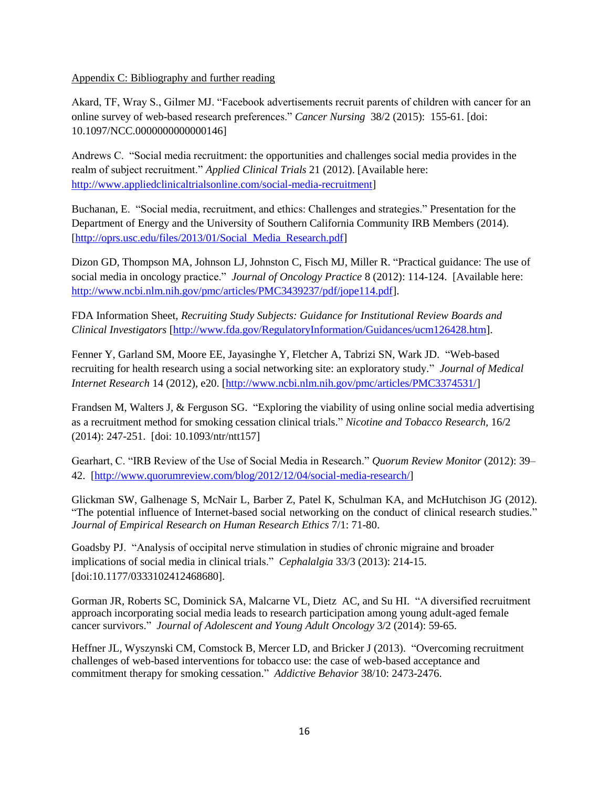#### <span id="page-15-0"></span>Appendix C: Bibliography and further reading

Akard, TF, Wray S., Gilmer MJ. "Facebook advertisements recruit parents of children with cancer for an online survey of web-based research preferences." *Cancer Nursing* 38/2 (2015): 155-61. [doi: 10.1097/NCC.0000000000000146]

Andrews C. "Social media recruitment: the opportunities and challenges social media provides in the realm of subject recruitment." *Applied Clinical Trials* 21 (2012). [Available here: [http://www.appliedclinicaltrialsonline.com/social-media-recruitment\]](http://www.appliedclinicaltrialsonline.com/social-media-recruitment)

Buchanan, E. "Social media, recruitment, and ethics: Challenges and strategies." Presentation for the Department of Energy and the University of Southern California Community IRB Members (2014). [\[http://oprs.usc.edu/files/2013/01/Social\\_Media\\_Research.pdf\]](http://oprs.usc.edu/files/2013/01/Social_Media_Research.pdf)

Dizon [GD,](http://www.ncbi.nlm.nih.gov/pubmed/?term=Graham%20D%5BAuthor%5D&cauthor=true&cauthor_uid=23277774) [Thompson MA,](http://www.ncbi.nlm.nih.gov/pubmed/?term=Thompson%20MA%5BAuthor%5D&cauthor=true&cauthor_uid=23277774) [Johnson](http://www.ncbi.nlm.nih.gov/pubmed/?term=Johnson%20LJ%5BAuthor%5D&cauthor=true&cauthor_uid=23277774) LJ, [Johnston C,](http://www.ncbi.nlm.nih.gov/pubmed/?term=Johnston%20C%5BAuthor%5D&cauthor=true&cauthor_uid=23277774) [Fisch MJ,](http://www.ncbi.nlm.nih.gov/pubmed/?term=Fisch%20MJ%5BAuthor%5D&cauthor=true&cauthor_uid=23277774) [Miller R.](http://www.ncbi.nlm.nih.gov/pubmed/?term=Miller%20R%5BAuthor%5D&cauthor=true&cauthor_uid=23277774) "Practical guidance: The use of social media in oncology practice." *Journal of Oncology Practice* 8 (2012): 114-124. [Available here: [http://www.ncbi.nlm.nih.gov/pmc/articles/PMC3439237/pdf/jope114.pdf\]](http://www.ncbi.nlm.nih.gov/pmc/articles/PMC3439237/pdf/jope114.pdf).

FDA Information Sheet, *Recruiting Study Subjects: Guidance for Institutional Review Boards and Clinical Investigators* [\[http://www.fda.gov/RegulatoryInformation/Guidances/ucm126428.htm\]](http://www.fda.gov/RegulatoryInformation/Guidances/ucm126428.htm).

Fenner Y, Garland SM, Moore EE, Jayasinghe Y, Fletcher A, Tabrizi SN, Wark JD. "Web-based recruiting for health research using a social networking site: an exploratory study." *Journal of Medical Internet Research* 14 (2012), e20. [\[http://www.ncbi.nlm.nih.gov/pmc/articles/PMC3374531/\]](http://www.ncbi.nlm.nih.gov/pmc/articles/PMC3374531/)

Frandsen M, Walters J, & Ferguson SG. "Exploring the viability of using online social media advertising as a recruitment method for smoking cessation clinical trials." *Nicotine and Tobacco Research,* 16/2 (2014): 247-251. [doi: 10.1093/ntr/ntt157]

Gearhart, C. "IRB Review of the Use of Social Media in Research." *Quorum Review Monitor* (2012): 39– 42. [\[http://www.quorumreview.com/blog/2012/12/04/social-media-research/\]](http://www.quorumreview.com/blog/2012/12/04/social-media-research/)

Glickman SW, Galhenage S, McNair L, Barber Z, Patel K, Schulman KA, and McHutchison JG (2012). "The potential influence of Internet-based social networking on the conduct of clinical research studies." *Journal of Empirical Research on Human Research Ethics* 7/1: 71-80.

Goadsby PJ. "Analysis of occipital nerve stimulation in studies of chronic migraine and broader implications of social media in clinical trials." *Cephalalgia* 33/3 (2013): 214-15. [doi:10.1177/0333102412468680].

Gorman JR, Roberts SC, Dominick SA, Malcarne VL, Dietz AC, and Su HI. "A diversified recruitment approach incorporating social media leads to research participation among young adult-aged female cancer survivors." *Journal of Adolescent and Young Adult Oncology* 3/2 (2014): 59-65.

Heffner JL, Wyszynski CM, Comstock B, Mercer LD, and Bricker J (2013). "Overcoming recruitment challenges of web-based interventions for tobacco use: the case of web-based acceptance and commitment therapy for smoking cessation." *Addictive Behavior* 38/10: 2473-2476.